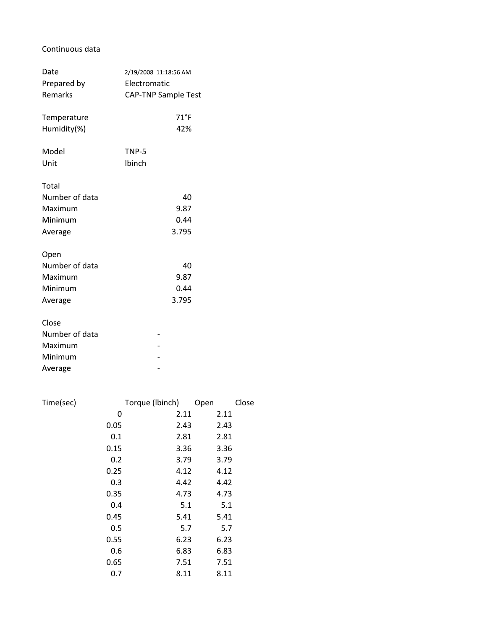## Continuous data

| Date                                                     | 2/19/2008 11:18:56 AM       |  |
|----------------------------------------------------------|-----------------------------|--|
| Prepared by                                              | Electromatic                |  |
| Remarks                                                  | <b>CAP-TNP Sample Test</b>  |  |
| Temperature                                              | $71^{\circ}$ F              |  |
| Humidity(%)                                              | 42%                         |  |
| Model                                                    | TNP-5                       |  |
| Unit                                                     | Ibinch                      |  |
| Total<br>Number of data<br>Maximum<br>Minimum<br>Average | 40<br>9.87<br>0.44<br>3.795 |  |
| Open<br>Number of data<br>Maximum<br>Minimum<br>Average  | 40<br>9.87<br>0.44<br>3.795 |  |
| Close<br>Number of data<br>Maximum<br>Minimum<br>Average |                             |  |

| Time(sec) |      | Torque (Ibinch) | Open | Close |
|-----------|------|-----------------|------|-------|
|           | 0    | 2.11            | 2.11 |       |
|           | 0.05 | 2.43            | 2.43 |       |
|           | 0.1  | 2.81            | 2.81 |       |
|           | 0.15 | 3.36            | 3.36 |       |
|           | 0.2  | 3.79            | 3.79 |       |
|           | 0.25 | 4.12            | 4.12 |       |
|           | 0.3  | 4.42            | 4.42 |       |
|           | 0.35 | 4.73            | 4.73 |       |
|           | 0.4  | 5.1             | 5.1  |       |
|           | 0.45 | 5.41            | 5.41 |       |
|           | 0.5  | 5.7             | 5.7  |       |
|           | 0.55 | 6.23            | 6.23 |       |
|           | 0.6  | 6.83            | 6.83 |       |
|           | 0.65 | 7.51            | 7.51 |       |
|           | 0.7  | 8.11            | 8.11 |       |